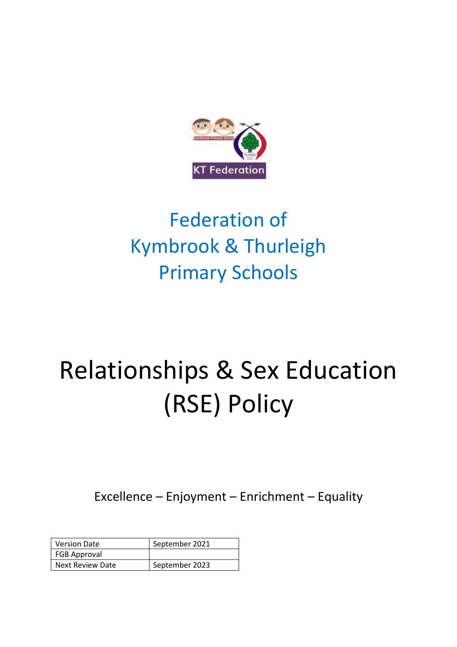

# Federation of Kymbrook & Thurleigh Primary Schools

# Relationships & Sex Education (RSE) Policy

Excellence – Enjoyment – Enrichment – Equality

| <b>Version Date</b>     | September 2021 |
|-------------------------|----------------|
| <b>FGB Approval</b>     |                |
| <b>Next Review Date</b> | September 2023 |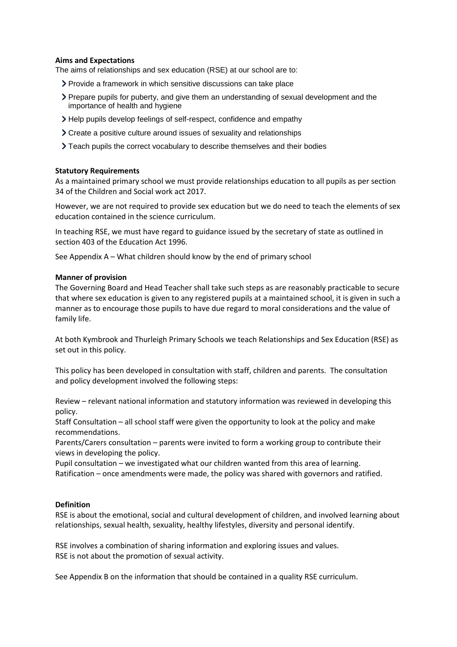# **Aims and Expectations**

The aims of relationships and sex education (RSE) at our school are to:

- Provide a framework in which sensitive discussions can take place
- Prepare pupils for puberty, and give them an understanding of sexual development and the importance of health and hygiene
- Help pupils develop feelings of self-respect, confidence and empathy
- Create a positive culture around issues of sexuality and relationships
- Teach pupils the correct vocabulary to describe themselves and their bodies

# **Statutory Requirements**

As a maintained primary school we must provide relationships education to all pupils as per section 34 of th[e Children and Social work act 2017.](http://www.legislation.gov.uk/ukpga/2017/16/section/34/enacted)

However, we are not required to provide sex education but we do need to teach the elements of sex education contained in the science curriculum.

In teaching RSE, we must have regard to [guidance](https://www.gov.uk/government/consultations/relationships-and-sex-education-and-health-education) issued by the secretary of state as outlined in section 403 of the [Education Act 1996.](http://www.legislation.gov.uk/ukpga/1996/56/contents)

See Appendix A – What children should know by the end of primary school

#### **Manner of provision**

The Governing Board and Head Teacher shall take such steps as are reasonably practicable to secure that where sex education is given to any registered pupils at a maintained school, it is given in such a manner as to encourage those pupils to have due regard to moral considerations and the value of family life.

At both Kymbrook and Thurleigh Primary Schools we teach Relationships and Sex Education (RSE) as set out in this policy.

This policy has been developed in consultation with staff, children and parents. The consultation and policy development involved the following steps:

Review – relevant national information and statutory information was reviewed in developing this policy.

Staff Consultation – all school staff were given the opportunity to look at the policy and make recommendations.

Parents/Carers consultation – parents were invited to form a working group to contribute their views in developing the policy.

Pupil consultation – we investigated what our children wanted from this area of learning. Ratification – once amendments were made, the policy was shared with governors and ratified.

# **Definition**

RSE is about the emotional, social and cultural development of children, and involved learning about relationships, sexual health, sexuality, healthy lifestyles, diversity and personal identify.

RSE involves a combination of sharing information and exploring issues and values. RSE is not about the promotion of sexual activity.

See Appendix B on the information that should be contained in a quality RSE curriculum.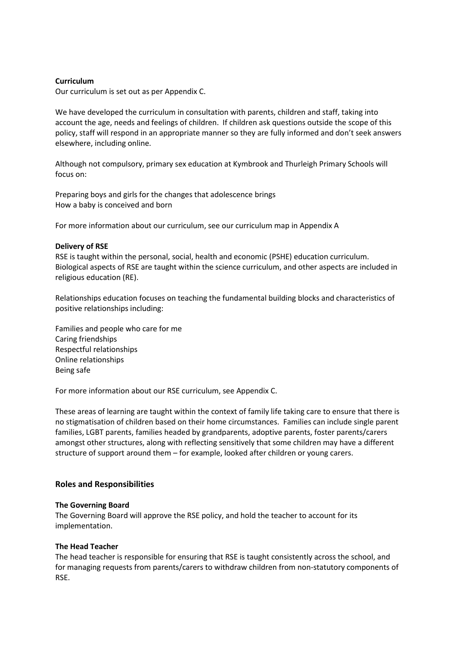#### **Curriculum**

Our curriculum is set out as per Appendix C.

We have developed the curriculum in consultation with parents, children and staff, taking into account the age, needs and feelings of children. If children ask questions outside the scope of this policy, staff will respond in an appropriate manner so they are fully informed and don't seek answers elsewhere, including online.

Although not compulsory, primary sex education at Kymbrook and Thurleigh Primary Schools will focus on:

Preparing boys and girls for the changes that adolescence brings How a baby is conceived and born

For more information about our curriculum, see our curriculum map in Appendix A

#### **Delivery of RSE**

RSE is taught within the personal, social, health and economic (PSHE) education curriculum. Biological aspects of RSE are taught within the science curriculum, and other aspects are included in religious education (RE).

Relationships education focuses on teaching the fundamental building blocks and characteristics of positive relationships including:

Families and people who care for me Caring friendships Respectful relationships Online relationships Being safe

For more information about our RSE curriculum, see Appendix C.

These areas of learning are taught within the context of family life taking care to ensure that there is no stigmatisation of children based on their home circumstances. Families can include single parent families, LGBT parents, families headed by grandparents, adoptive parents, foster parents/carers amongst other structures, along with reflecting sensitively that some children may have a different structure of support around them – for example, looked after children or young carers.

#### **Roles and Responsibilities**

#### **The Governing Board**

The Governing Board will approve the RSE policy, and hold the teacher to account for its implementation.

#### **The Head Teacher**

The head teacher is responsible for ensuring that RSE is taught consistently across the school, and for managing requests from parents/carers to withdraw children from non-statutory components of RSE.